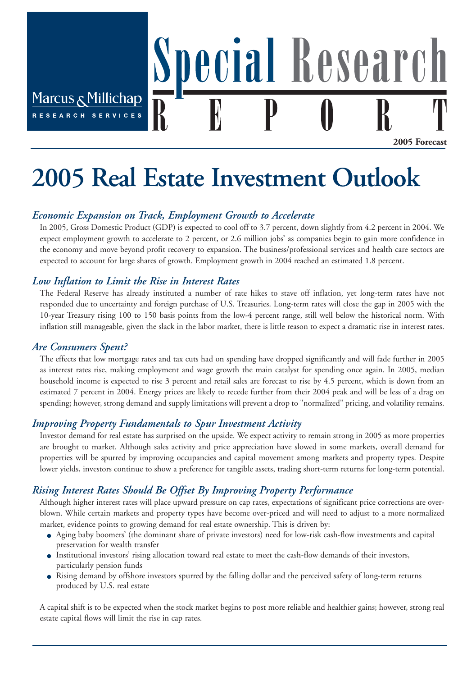Marcus & Millichap **RESEARCH** 

**2005 Forecast**

# **2005 Real Estate Investment Outlook**

## *Economic Expansion on Track, Employment Growth to Accelerate*

In 2005, Gross Domestic Product (GDP) is expected to cool off to 3.7 percent, down slightly from 4.2 percent in 2004. We expect employment growth to accelerate to 2 percent, or 2.6 million jobs' as companies begin to gain more confidence in the economy and move beyond profit recovery to expansion. The business/professional services and health care sectors are expected to account for large shares of growth. Employment growth in 2004 reached an estimated 1.8 percent.

ecial Researc

### *Low Inflation to Limit the Rise in Interest Rates*

The Federal Reserve has already instituted a number of rate hikes to stave off inflation, yet long-term rates have not responded due to uncertainty and foreign purchase of U.S. Treasuries. Long-term rates will close the gap in 2005 with the 10-year Treasury rising 100 to 150 basis points from the low-4 percent range, still well below the historical norm. With inflation still manageable, given the slack in the labor market, there is little reason to expect a dramatic rise in interest rates.

### *Are Consumers Spent?*

The effects that low mortgage rates and tax cuts had on spending have dropped significantly and will fade further in 2005 as interest rates rise, making employment and wage growth the main catalyst for spending once again. In 2005, median household income is expected to rise 3 percent and retail sales are forecast to rise by 4.5 percent, which is down from an estimated 7 percent in 2004. Energy prices are likely to recede further from their 2004 peak and will be less of a drag on spending; however, strong demand and supply limitations will prevent a drop to "normalized" pricing, and volatility remains.

## *Improving Property Fundamentals to Spur Investment Activity*

Investor demand for real estate has surprised on the upside. We expect activity to remain strong in 2005 as more properties are brought to market. Although sales activity and price appreciation have slowed in some markets, overall demand for properties will be spurred by improving occupancies and capital movement among markets and property types. Despite lower yields, investors continue to show a preference for tangible assets, trading short-term returns for long-term potential.

## *Rising Interest Rates Should Be Offset By Improving Property Performance*

Although higher interest rates will place upward pressure on cap rates, expectations of significant price corrections are overblown. While certain markets and property types have become over-priced and will need to adjust to a more normalized market, evidence points to growing demand for real estate ownership. This is driven by:

- Aging baby boomers' (the dominant share of private investors) need for low-risk cash-flow investments and capital preservation for wealth transfer
- Institutional investors' rising allocation toward real estate to meet the cash-flow demands of their investors, particularly pension funds
- Rising demand by offshore investors spurred by the falling dollar and the perceived safety of long-term returns produced by U.S. real estate

A capital shift is to be expected when the stock market begins to post more reliable and healthier gains; however, strong real estate capital flows will limit the rise in cap rates.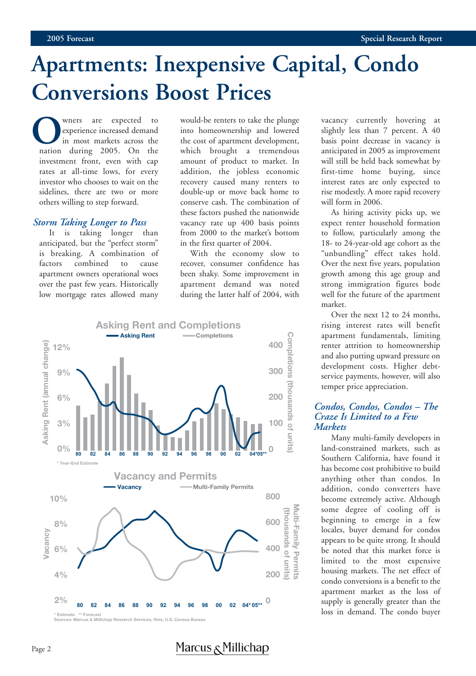## **Apartments: Inexpensive Capital, Condo Conversions Boost Prices**

Where are expected to<br>
experience increased demand<br>
in most markets across the<br>
nation during 2005. On the experience increased demand in most markets across the investment front, even with cap rates at all-time lows, for every investor who chooses to wait on the sidelines, there are two or more others willing to step forward.

#### *Storm Taking Longer to Pass*

It is taking longer than anticipated, but the "perfect storm" is breaking. A combination of factors combined to cause apartment owners operational woes over the past few years. Historically low mortgage rates allowed many

would-be renters to take the plunge into homeownership and lowered the cost of apartment development, which brought a tremendous amount of product to market. In addition, the jobless economic recovery caused many renters to double-up or move back home to conserve cash. The combination of these factors pushed the nationwide vacancy rate up 400 basis points from 2000 to the market's bottom in the first quarter of 2004.

With the economy slow to recover, consumer confidence has been shaky. Some improvement in apartment demand was noted during the latter half of 2004, with



vacancy currently hovering at slightly less than 7 percent. A 40 basis point decrease in vacancy is anticipated in 2005 as improvement will still be held back somewhat by first-time home buying, since interest rates are only expected to rise modestly. A more rapid recovery will form in 2006.

As hiring activity picks up, we expect renter household formation to follow, particularly among the 18- to 24-year-old age cohort as the "unbundling" effect takes hold. Over the next five years, population growth among this age group and strong immigration figures bode well for the future of the apartment market.

Over the next 12 to 24 months, rising interest rates will benefit apartment fundamentals, limiting renter attrition to homeownership and also putting upward pressure on development costs. Higher debtservice payments, however, will also temper price appreciation.

#### *Condos, Condos, Condos – The Craze Is Limited to a Few Markets*

Many multi-family developers in land-constrained markets, such as Southern California, have found it has become cost prohibitive to build anything other than condos. In addition, condo converters have become extremely active. Although some degree of cooling off is beginning to emerge in a few locales, buyer demand for condos appears to be quite strong. It should be noted that this market force is limited to the most expensive housing markets. The net effect of condo conversions is a benefit to the apartment market as the loss of supply is generally greater than the loss in demand. The condo buyer

Marcus & Millichap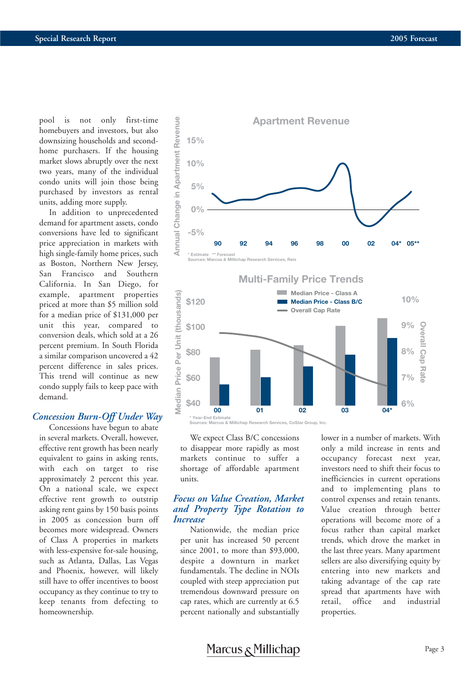pool is not only first-time homebuyers and investors, but also downsizing households and secondhome purchasers. If the housing market slows abruptly over the next two years, many of the individual condo units will join those being purchased by investors as rental units, adding more supply.

In addition to unprecedented demand for apartment assets, condo conversions have led to significant price appreciation in markets with high single-family home prices, such as Boston, Northern New Jersey, San Francisco and Southern California. In San Diego, for example, apartment properties priced at more than \$5 million sold for a median price of \$131,000 per unit this year, compared to conversion deals, which sold at a 26 percent premium. In South Florida a similar comparison uncovered a 42 percent difference in sales prices. This trend will continue as new condo supply fails to keep pace with demand.

#### *Concession Burn-Off Under Way*

Concessions have begun to abate in several markets. Overall, however, effective rent growth has been nearly equivalent to gains in asking rents, with each on target to rise approximately 2 percent this year. On a national scale, we expect effective rent growth to outstrip asking rent gains by 150 basis points in 2005 as concession burn off becomes more widespread. Owners of Class A properties in markets with less-expensive for-sale housing, such as Atlanta, Dallas, Las Vegas and Phoenix, however, will likely still have to offer incentives to boost occupancy as they continue to try to keep tenants from defecting to homeownership.





We expect Class B/C concessions to disappear more rapidly as most markets continue to suffer a shortage of affordable apartment units.

#### *Focus on Value Creation, Market and Property Type Rotation to Increase*

Nationwide, the median price per unit has increased 50 percent since 2001, to more than \$93,000, despite a downturn in market fundamentals. The decline in NOIs coupled with steep appreciation put tremendous downward pressure on cap rates, which are currently at 6.5 percent nationally and substantially lower in a number of markets. With only a mild increase in rents and occupancy forecast next year, investors need to shift their focus to inefficiencies in current operations and to implementing plans to control expenses and retain tenants. Value creation through better operations will become more of a focus rather than capital market trends, which drove the market in the last three years. Many apartment sellers are also diversifying equity by entering into new markets and taking advantage of the cap rate spread that apartments have with retail, office and industrial properties.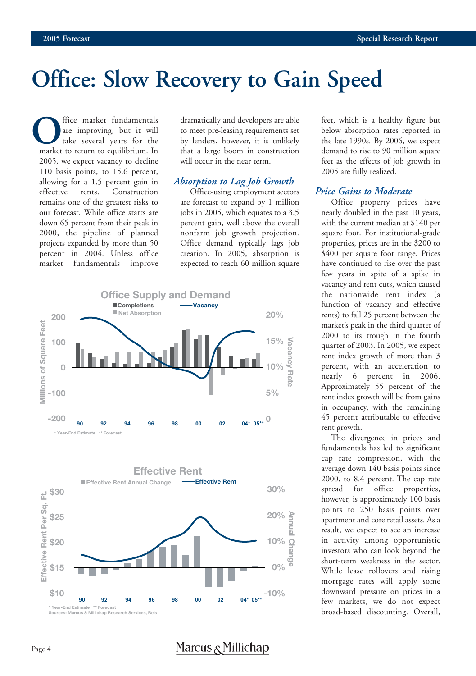## **Office: Slow Recovery to Gain Speed**

**O**ffice market fundamentals<br>are improving, but it will<br>take several years for the<br>market to return to equilibrium. In are improving, but it will take several years for the 2005, we expect vacancy to decline 110 basis points, to 15.6 percent, allowing for a 1.5 percent gain in effective rents. Construction remains one of the greatest risks to our forecast. While office starts are down 65 percent from their peak in 2000, the pipeline of planned projects expanded by more than 50 percent in 2004. Unless office market fundamentals improve

dramatically and developers are able to meet pre-leasing requirements set by lenders, however, it is unlikely that a large boom in construction will occur in the near term.

#### *Absorption to Lag Job Growth*

Office-using employment sectors are forecast to expand by 1 million jobs in 2005, which equates to a 3.5 percent gain, well above the overall nonfarm job growth projection. Office demand typically lags job creation. In 2005, absorption is expected to reach 60 million square



feet, which is a healthy figure but below absorption rates reported in the late 1990s. By 2006, we expect demand to rise to 90 million square feet as the effects of job growth in 2005 are fully realized.

#### *Price Gains to Moderate*

Office property prices have nearly doubled in the past 10 years, with the current median at \$140 per square foot. For institutional-grade properties, prices are in the \$200 to \$400 per square foot range. Prices have continued to rise over the past few years in spite of a spike in vacancy and rent cuts, which caused the nationwide rent index (a function of vacancy and effective rents) to fall 25 percent between the market's peak in the third quarter of 2000 to its trough in the fourth quarter of 2003. In 2005, we expect rent index growth of more than 3 percent, with an acceleration to nearly 6 percent in 2006. Approximately 55 percent of the rent index growth will be from gains in occupancy, with the remaining 45 percent attributable to effective rent growth.

The divergence in prices and fundamentals has led to significant cap rate compression, with the average down 140 basis points since 2000, to 8.4 percent. The cap rate spread for office properties, however, is approximately 100 basis points to 250 basis points over apartment and core retail assets. As a result, we expect to see an increase in activity among opportunistic investors who can look beyond the short-term weakness in the sector. While lease rollovers and rising mortgage rates will apply some downward pressure on prices in a few markets, we do not expect broad-based discounting. Overall,

## Marcus  $\kappa$  Millichap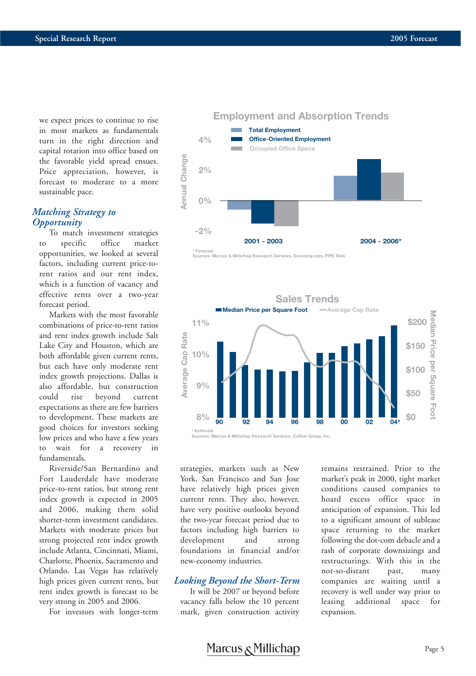we expect prices to continue to rise in most markets as fundamentals turn in the right direction and capital rotation into office based on the favorable yield spread ensues. Price appreciation, however, is forecast to moderate to a more sustainable pace.

#### *Matching Strategy to Opportunity*

To match investment strategies to specific office market opportunities, we looked at several factors, including current price-torent ratios and our rent index, which is a function of vacancy and effective rents over a two-year forecast period.

Markets with the most favorable combinations of price-to-rent ratios and rent index growth include Salt Lake City and Houston, which are both affordable given current rents, but each have only moderate rent index growth projections. Dallas is also affordable, but construction could rise beyond current expectations as there are few barriers to development. These markets are good choices for investors seeking low prices and who have a few years to wait for a recovery in fundamentals.

Riverside/San Bernardino and Fort Lauderdale have moderate price-to-rent ratios, but strong rent index growth is expected in 2005 and 2006, making them solid shorter-term investment candidates. Markets with moderate prices but strong projected rent index growth include Atlanta, Cincinnati, Miami, Charlotte, Phoenix, Sacramento and Orlando. Las Vegas has relatively high prices given current rents, but rent index growth is forecast to be very strong in 2005 and 2006.

For investors with longer-term



**Sources: Marcus & Millichap Research Services, Economy.com, PPR, Reis**



strategies, markets such as New York, San Francisco and San Jose have relatively high prices given current rents. They also, however, have very positive outlooks beyond the two-year forecast period due to factors including high barriers to development and strong foundations in financial and/or new-economy industries.

#### *Looking Beyond the Short-Term*

It will be 2007 or beyond before vacancy falls below the 10 percent mark, given construction activity

remains restrained. Prior to the market's peak in 2000, tight market conditions caused companies to hoard excess office space in anticipation of expansion. This led to a significant amount of sublease space returning to the market following the dot-com debacle and a rash of corporate downsizings and restructurings. With this in the not-so-distant past, many companies are waiting until a recovery is well under way prior to leasing additional space for expansion.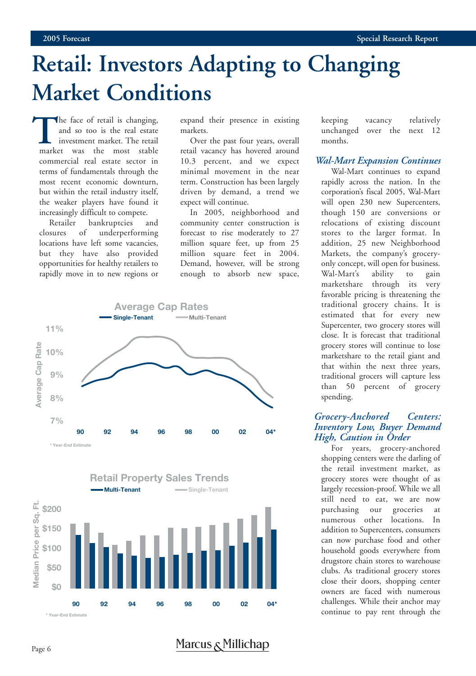## **Retail: Investors Adapting to Changing Market Conditions**

The face of retail is changing,<br>
and so too is the real estate<br>
investment market. The retail<br>
market was the most stable and so too is the real estate investment market. The retail commercial real estate sector in terms of fundamentals through the most recent economic downturn, but within the retail industry itself, the weaker players have found it increasingly difficult to compete.

Retailer bankruptcies and closures of underperforming locations have left some vacancies, but they have also provided opportunities for healthy retailers to rapidly move in to new regions or expand their presence in existing markets.

Over the past four years, overall retail vacancy has hovered around 10.3 percent, and we expect minimal movement in the near term. Construction has been largely driven by demand, a trend we expect will continue.

In 2005, neighborhood and community center construction is forecast to rise moderately to 27 million square feet, up from 25 million square feet in 2004. Demand, however, will be strong enough to absorb new space,





Marcus <sub>δ</sub>Millichap

keeping vacancy relatively unchanged over the next 12 months.

#### *Wal-Mart Expansion Continues*

Wal-Mart continues to expand rapidly across the nation. In the corporation's fiscal 2005, Wal-Mart will open 230 new Supercenters, though 150 are conversions or relocations of existing discount stores to the larger format. In addition, 25 new Neighborhood Markets, the company's groceryonly concept, will open for business. Wal-Mart's ability to gain marketshare through its very favorable pricing is threatening the traditional grocery chains. It is estimated that for every new Supercenter, two grocery stores will close. It is forecast that traditional grocery stores will continue to lose marketshare to the retail giant and that within the next three years, traditional grocers will capture less than 50 percent of grocery spending.

#### *Grocery-Anchored Centers: Inventory Low, Buyer Demand High, Caution in Order*

For years, grocery-anchored shopping centers were the darling of the retail investment market, as grocery stores were thought of as largely recession-proof. While we all still need to eat, we are now purchasing our groceries at numerous other locations. In addition to Supercenters, consumers can now purchase food and other household goods everywhere from drugstore chain stores to warehouse clubs. As traditional grocery stores close their doors, shopping center owners are faced with numerous challenges. While their anchor may continue to pay rent through the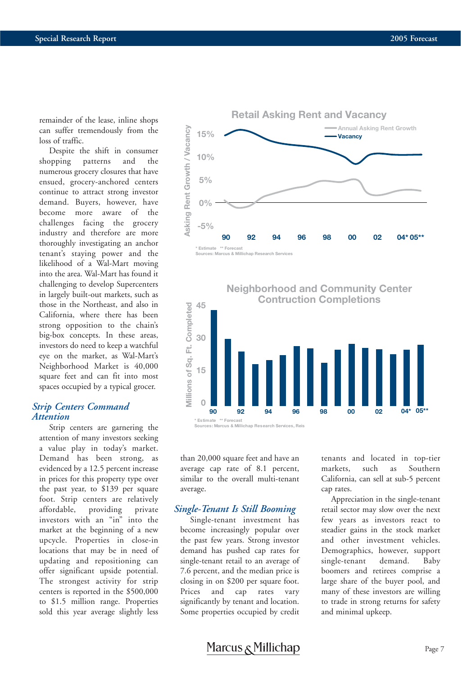remainder of the lease, inline shops can suffer tremendously from the loss of traffic.

Despite the shift in consumer shopping patterns and the numerous grocery closures that have ensued, grocery-anchored centers continue to attract strong investor demand. Buyers, however, have become more aware of the challenges facing the grocery industry and therefore are more thoroughly investigating an anchor tenant's staying power and the likelihood of a Wal-Mart moving into the area. Wal-Mart has found it challenging to develop Supercenters in largely built-out markets, such as those in the Northeast, and also in California, where there has been strong opposition to the chain's big-box concepts. In these areas, investors do need to keep a watchful eye on the market, as Wal-Mart's Neighborhood Market is 40,000 square feet and can fit into most spaces occupied by a typical grocer.

#### *Strip Centers Command Attention*

Strip centers are garnering the attention of many investors seeking a value play in today's market. Demand has been strong, as evidenced by a 12.5 percent increase in prices for this property type over the past year, to \$139 per square foot. Strip centers are relatively affordable, providing private investors with an "in" into the market at the beginning of a new upcycle. Properties in close-in locations that may be in need of updating and repositioning can offer significant upside potential. The strongest activity for strip centers is reported in the \$500,000 to \$1.5 million range. Properties sold this year average slightly less





than 20,000 square feet and have an average cap rate of 8.1 percent, similar to the overall multi-tenant average.

#### *Single-Tenant Is Still Booming*

Single-tenant investment has become increasingly popular over the past few years. Strong investor demand has pushed cap rates for single-tenant retail to an average of 7.6 percent, and the median price is closing in on \$200 per square foot. Prices and cap rates vary significantly by tenant and location. Some properties occupied by credit tenants and located in top-tier markets, such as Southern California, can sell at sub-5 percent cap rates.

Appreciation in the single-tenant retail sector may slow over the next few years as investors react to steadier gains in the stock market and other investment vehicles. Demographics, however, support single-tenant demand. Baby boomers and retirees comprise a large share of the buyer pool, and many of these investors are willing to trade in strong returns for safety and minimal upkeep.